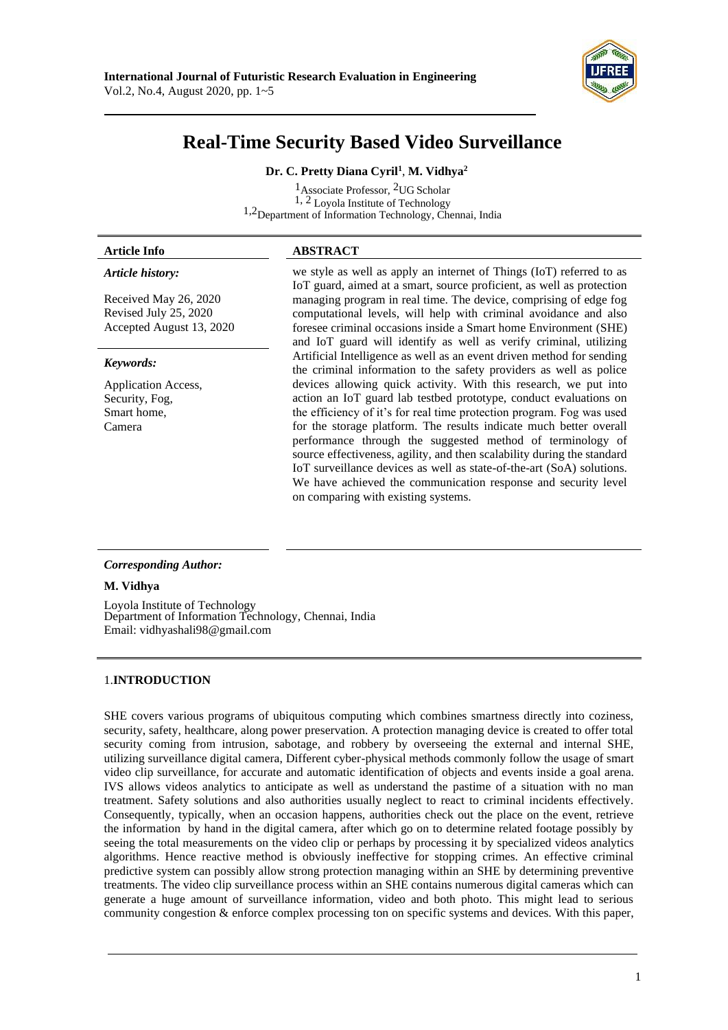

# **Real-Time Security Based Video Surveillance**

# **Dr. C. Pretty Diana Cyril<sup>1</sup>** , **M. Vidhya<sup>2</sup>**

<sup>1</sup>Associate Professor, <sup>2</sup>UG Scholar 1, 2 Loyola Institute of Technology 1,2Department of Information Technology, Chennai, India

## **Article Info ABSTRACT**

# *Article history:*

Received May 26, 2020 Revised July 25, 2020 Accepted August 13, 2020

#### *Keywords:*

Application Access, Security, Fog, Smart home, Camera

we style as well as apply an internet of Things (IoT) referred to as IoT guard, aimed at a smart, source proficient, as well as protection managing program in real time. The device, comprising of edge fog computational levels, will help with criminal avoidance and also foresee criminal occasions inside a Smart home Environment (SHE) and IoT guard will identify as well as verify criminal, utilizing Artificial Intelligence as well as an event driven method for sending the criminal information to the safety providers as well as police devices allowing quick activity. With this research, we put into action an IoT guard lab testbed prototype, conduct evaluations on the efficiency of it's for real time protection program. Fog was used for the storage platform. The results indicate much better overall performance through the suggested method of terminology of source effectiveness, agility, and then scalability during the standard IoT surveillance devices as well as state-of-the-art (SoA) solutions. We have achieved the communication response and security level on comparing with existing systems.

### *Corresponding Author:*

### **M. Vidhya**

Loyola Institute of Technology Department of Information Technology, Chennai, India Email: [vidhyashali98@gmail.com](mailto:vidhyashali98@gmail.com)

### 1.**INTRODUCTION**

SHE covers various programs of ubiquitous computing which combines smartness directly into coziness, security, safety, healthcare, along power preservation. A protection managing device is created to offer total security coming from intrusion, sabotage, and robbery by overseeing the external and internal SHE, utilizing surveillance digital camera, Different cyber-physical methods commonly follow the usage of smart video clip surveillance, for accurate and automatic identification of objects and events inside a goal arena. IVS allows videos analytics to anticipate as well as understand the pastime of a situation with no man treatment. Safety solutions and also authorities usually neglect to react to criminal incidents effectively. Consequently, typically, when an occasion happens, authorities check out the place on the event, retrieve the information by hand in the digital camera, after which go on to determine related footage possibly by seeing the total measurements on the video clip or perhaps by processing it by specialized videos analytics algorithms. Hence reactive method is obviously ineffective for stopping crimes. An effective criminal predictive system can possibly allow strong protection managing within an SHE by determining preventive treatments. The video clip surveillance process within an SHE contains numerous digital cameras which can generate a huge amount of surveillance information, video and both photo. This might lead to serious community congestion & enforce complex processing ton on specific systems and devices. With this paper,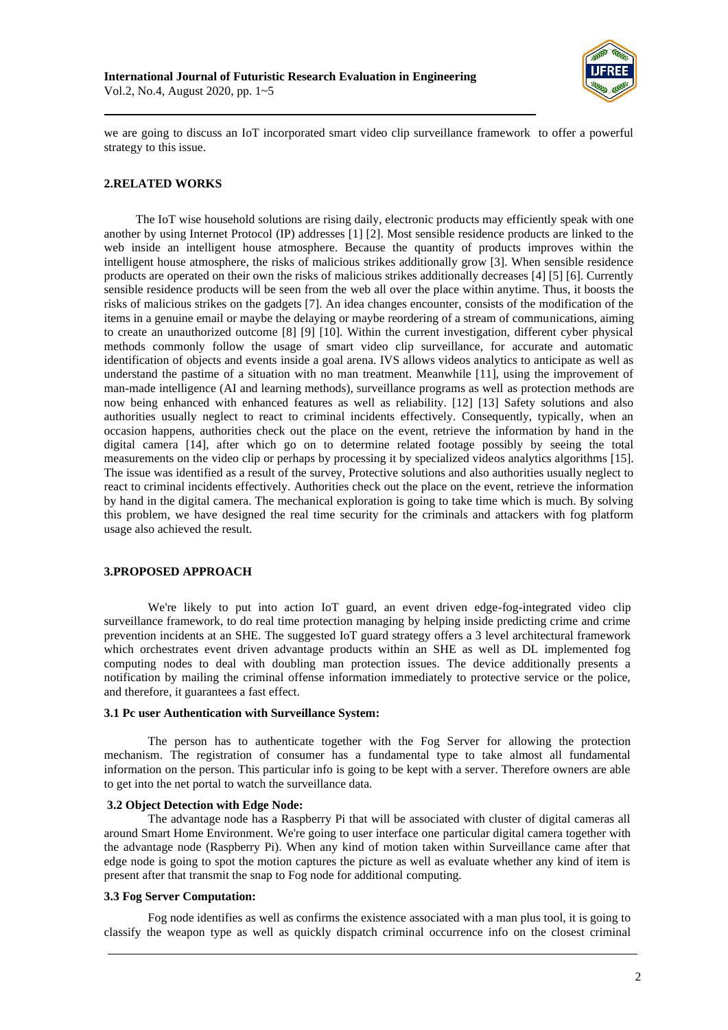

we are going to discuss an IoT incorporated smart video clip surveillance framework to offer a powerful strategy to this issue.

# **2.RELATED WORKS**

The IoT wise household solutions are rising daily, electronic products may efficiently speak with one another by using Internet Protocol (IP) addresses [1] [2]. Most sensible residence products are linked to the web inside an intelligent house atmosphere. Because the quantity of products improves within the intelligent house atmosphere, the risks of malicious strikes additionally grow [3]. When sensible residence products are operated on their own the risks of malicious strikes additionally decreases [4] [5] [6]. Currently sensible residence products will be seen from the web all over the place within anytime. Thus, it boosts the risks of malicious strikes on the gadgets [7]. An idea changes encounter, consists of the modification of the items in a genuine email or maybe the delaying or maybe reordering of a stream of communications, aiming to create an unauthorized outcome [8] [9] [10]. Within the current investigation, different cyber physical methods commonly follow the usage of smart video clip surveillance, for accurate and automatic identification of objects and events inside a goal arena. IVS allows videos analytics to anticipate as well as understand the pastime of a situation with no man treatment. Meanwhile [11], using the improvement of man-made intelligence (AI and learning methods), surveillance programs as well as protection methods are now being enhanced with enhanced features as well as reliability. [12] [13] Safety solutions and also authorities usually neglect to react to criminal incidents effectively. Consequently, typically, when an occasion happens, authorities check out the place on the event, retrieve the information by hand in the digital camera [14], after which go on to determine related footage possibly by seeing the total measurements on the video clip or perhaps by processing it by specialized videos analytics algorithms [15]. The issue was identified as a result of the survey, Protective solutions and also authorities usually neglect to react to criminal incidents effectively. Authorities check out the place on the event, retrieve the information by hand in the digital camera. The mechanical exploration is going to take time which is much. By solving this problem, we have designed the real time security for the criminals and attackers with fog platform usage also achieved the result.

### **3.PROPOSED APPROACH**

We're likely to put into action IoT guard, an event driven edge-fog-integrated video clip surveillance framework, to do real time protection managing by helping inside predicting crime and crime prevention incidents at an SHE. The suggested IoT guard strategy offers a 3 level architectural framework which orchestrates event driven advantage products within an SHE as well as DL implemented fog computing nodes to deal with doubling man protection issues. The device additionally presents a notification by mailing the criminal offense information immediately to protective service or the police, and therefore, it guarantees a fast effect.

#### **3.1 Pc user Authentication with Surveillance System:**

The person has to authenticate together with the Fog Server for allowing the protection mechanism. The registration of consumer has a fundamental type to take almost all fundamental information on the person. This particular info is going to be kept with a server. Therefore owners are able to get into the net portal to watch the surveillance data.

## **3.2 Object Detection with Edge Node:**

The advantage node has a Raspberry Pi that will be associated with cluster of digital cameras all around Smart Home Environment. We're going to user interface one particular digital camera together with the advantage node (Raspberry Pi). When any kind of motion taken within Surveillance came after that edge node is going to spot the motion captures the picture as well as evaluate whether any kind of item is present after that transmit the snap to Fog node for additional computing.

#### **3.3 Fog Server Computation:**

Fog node identifies as well as confirms the existence associated with a man plus tool, it is going to classify the weapon type as well as quickly dispatch criminal occurrence info on the closest criminal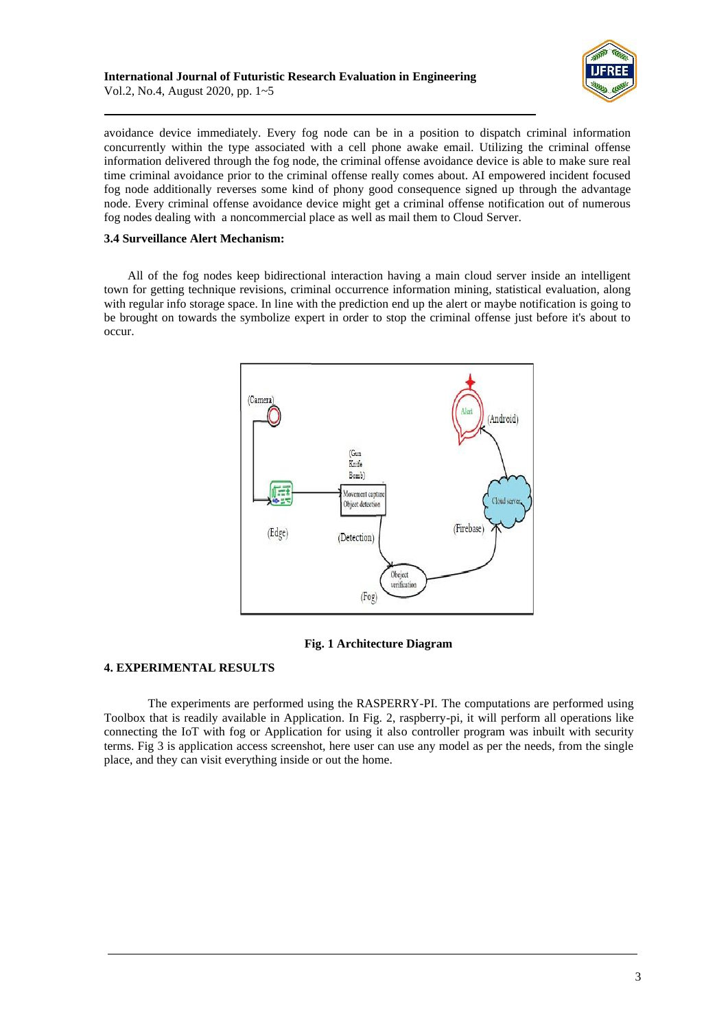

avoidance device immediately. Every fog node can be in a position to dispatch criminal information concurrently within the type associated with a cell phone awake email. Utilizing the criminal offense information delivered through the fog node, the criminal offense avoidance device is able to make sure real time criminal avoidance prior to the criminal offense really comes about. AI empowered incident focused fog node additionally reverses some kind of phony good consequence signed up through the advantage node. Every criminal offense avoidance device might get a criminal offense notification out of numerous fog nodes dealing with a noncommercial place as well as mail them to Cloud Server.

## **3.4 Surveillance Alert Mechanism:**

All of the fog nodes keep bidirectional interaction having a main cloud server inside an intelligent town for getting technique revisions, criminal occurrence information mining, statistical evaluation, along with regular info storage space. In line with the prediction end up the alert or maybe notification is going to be brought on towards the symbolize expert in order to stop the criminal offense just before it's about to occur.



## **Fig. 1 Architecture Diagram**

### **4. EXPERIMENTAL RESULTS**

The experiments are performed using the RASPERRY-PI. The computations are performed using Toolbox that is readily available in Application. In Fig. 2, raspberry-pi, it will perform all operations like connecting the IoT with fog or Application for using it also controller program was inbuilt with security terms. Fig 3 is application access screenshot, here user can use any model as per the needs, from the single place, and they can visit everything inside or out the home.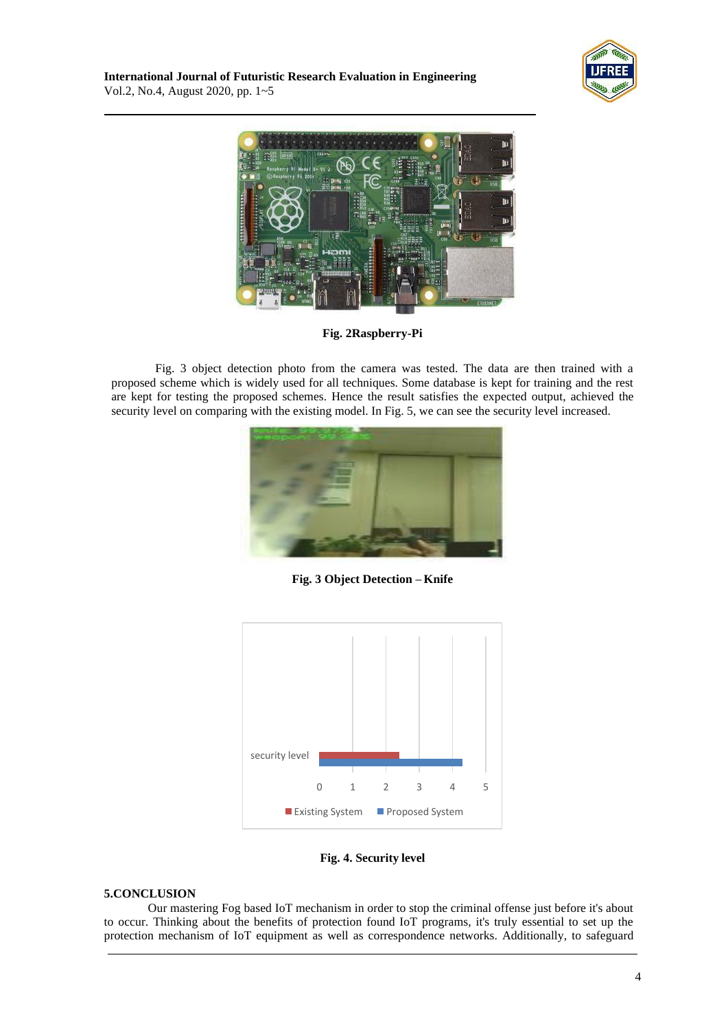



**Fig. 2Raspberry-Pi**

Fig. 3 object detection photo from the camera was tested. The data are then trained with a proposed scheme which is widely used for all techniques. Some database is kept for training and the rest are kept for testing the proposed schemes. Hence the result satisfies the expected output, achieved the security level on comparing with the existing model. In Fig. 5, we can see the security level increased.



**Fig. 3 Object Detection – Knife**



**Fig. 4. Security level**

## **5.CONCLUSION**

Our mastering Fog based IoT mechanism in order to stop the criminal offense just before it's about to occur. Thinking about the benefits of protection found IoT programs, it's truly essential to set up the protection mechanism of IoT equipment as well as correspondence networks. Additionally, to safeguard